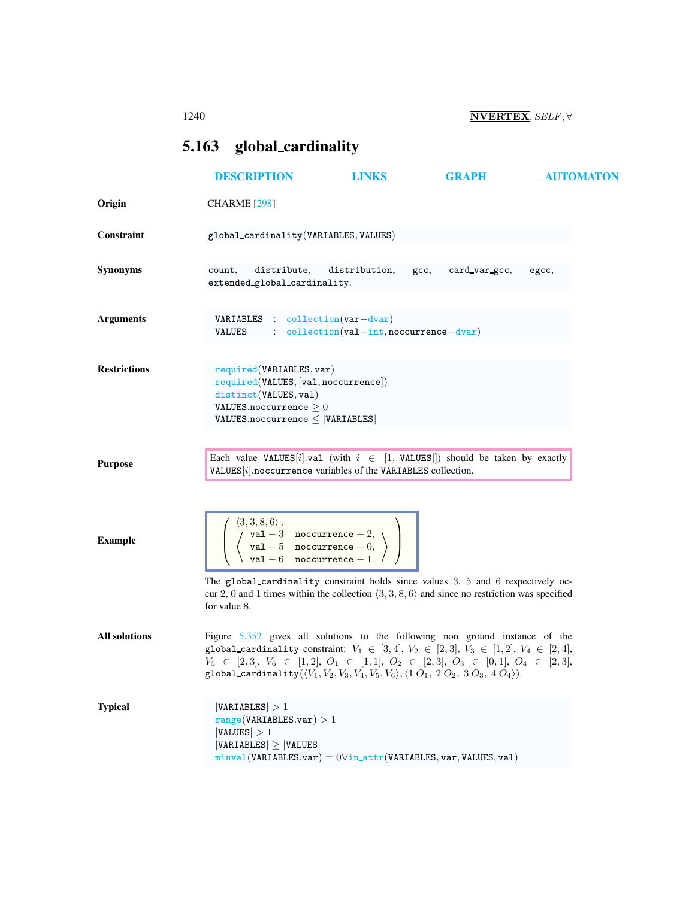# <span id="page-0-1"></span><span id="page-0-0"></span>5.163 global cardinality

|                      | <b>DESCRIPTION</b>                                                                                                                                                                                                                                                                                                                                                                                   | <b>LINKS</b>                                                                                                                                              | <b>GRAPH</b>  | <b>AUTOMATON</b> |
|----------------------|------------------------------------------------------------------------------------------------------------------------------------------------------------------------------------------------------------------------------------------------------------------------------------------------------------------------------------------------------------------------------------------------------|-----------------------------------------------------------------------------------------------------------------------------------------------------------|---------------|------------------|
| Origin               | <b>CHARME</b> [298]                                                                                                                                                                                                                                                                                                                                                                                  |                                                                                                                                                           |               |                  |
| Constraint           | global_cardinality(VARIABLES, VALUES)                                                                                                                                                                                                                                                                                                                                                                |                                                                                                                                                           |               |                  |
| <b>Synonyms</b>      | distribute,<br>count,<br>extended_global_cardinality.                                                                                                                                                                                                                                                                                                                                                | distribution,<br>gcc,                                                                                                                                     | card_var_gcc, | egcc,            |
| <b>Arguments</b>     | $VARIABLES : collection(var-dvar)$<br>VALUES                                                                                                                                                                                                                                                                                                                                                         | $:$ $\text{collection}(val-int, \text{nocurrence}-\text{dvar})$                                                                                           |               |                  |
| <b>Restrictions</b>  | required(VARIABLES, var)<br>required(VALUES, [val,nocurrence])<br>distinct(VALUES, val)<br>VALUES.noccurrence $\geq 0$<br>$VALUES.noccurrence \leq  VARIABLES $                                                                                                                                                                                                                                      |                                                                                                                                                           |               |                  |
| <b>Purpose</b>       |                                                                                                                                                                                                                                                                                                                                                                                                      | Each value VALUES[i].val (with $i \in [1,  \text{VALUES} )$ should be taken by exactly<br>$VALUES[i]$ .noccurrence variables of the VARIABLES collection. |               |                  |
| <b>Example</b>       | $\left(\begin{array}{c} \langle 3,3,8,6\rangle\,, & \text{nocurrency } -2,\\ \langle \begin{array}{cc} \text{val } -3 & \text{nocurrence } -2,\\ \text{val } -5 & \text{nocurrence } -0,\\ \text{val } -6 & \text{nocurrence } -1 \end{array}\rangle\right)$                                                                                                                                         |                                                                                                                                                           |               |                  |
|                      | The global_cardinality constraint holds since values 3, 5 and 6 respectively oc-<br>cur 2, 0 and 1 times within the collection $(3,3,8,6)$ and since no restriction was specified<br>for value 8.                                                                                                                                                                                                    |                                                                                                                                                           |               |                  |
| <b>All solutions</b> | Figure 5.352 gives all solutions to the following non ground instance of the<br>global_cardinality constraint: $V_1 \in [3, 4], V_2 \in [2, 3], V_3 \in [1, 2], V_4 \in [2, 4],$<br>$V_5 \in [2,3], V_6 \in [1,2], O_1 \in [1,1], O_2 \in [2,3], O_3 \in [0,1], O_4 \in [2,3],$<br>global_cardinality( $\langle V_1, V_2, V_3, V_4, V_5, V_6 \rangle, \langle 1 O_1, 2 O_2, 3 O_3, 4 O_4 \rangle$ ). |                                                                                                                                                           |               |                  |
| <b>Typical</b>       | VARIABLES  > 1<br>range(VARIABLES.var) > 1<br> VALUES  > 1<br>$ VARIABLES  \geq  VALUES $                                                                                                                                                                                                                                                                                                            | $minval(VARIABLES.var) = 0\vee in\_attr(VARIABLES, var, VALUES, val)$                                                                                     |               |                  |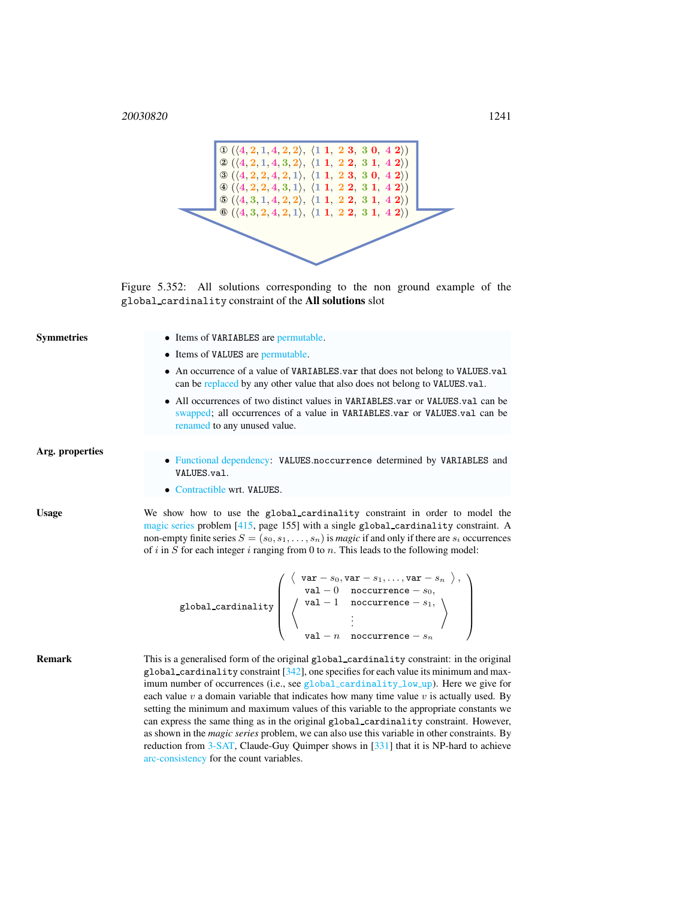

<span id="page-1-0"></span>Figure 5.352: All solutions corresponding to the non ground example of the global cardinality constraint of the All solutions slot

| <b>Symmetries</b> | • Items of VARIABLES are permutable.                                                                                                                                                                                                                                                                                                                                                                                                                                                                                                                                                                                                                                                                                                                                                                         |  |  |  |  |
|-------------------|--------------------------------------------------------------------------------------------------------------------------------------------------------------------------------------------------------------------------------------------------------------------------------------------------------------------------------------------------------------------------------------------------------------------------------------------------------------------------------------------------------------------------------------------------------------------------------------------------------------------------------------------------------------------------------------------------------------------------------------------------------------------------------------------------------------|--|--|--|--|
|                   | • Items of VALUES are permutable.                                                                                                                                                                                                                                                                                                                                                                                                                                                                                                                                                                                                                                                                                                                                                                            |  |  |  |  |
|                   | • An occurrence of a value of VARIABLES var that does not belong to VALUES val<br>can be replaced by any other value that also does not belong to VALUES.val.                                                                                                                                                                                                                                                                                                                                                                                                                                                                                                                                                                                                                                                |  |  |  |  |
|                   | • All occurrences of two distinct values in VARIABLES.var or VALUES.val can be<br>swapped; all occurrences of a value in VARIABLES.var or VALUES.val can be<br>renamed to any unused value.                                                                                                                                                                                                                                                                                                                                                                                                                                                                                                                                                                                                                  |  |  |  |  |
| Arg. properties   |                                                                                                                                                                                                                                                                                                                                                                                                                                                                                                                                                                                                                                                                                                                                                                                                              |  |  |  |  |
|                   | • Functional dependency: VALUES.noccurrence determined by VARIABLES and<br>VALUES.val.                                                                                                                                                                                                                                                                                                                                                                                                                                                                                                                                                                                                                                                                                                                       |  |  |  |  |
|                   | • Contractible wrt. VALUES.                                                                                                                                                                                                                                                                                                                                                                                                                                                                                                                                                                                                                                                                                                                                                                                  |  |  |  |  |
| <b>Usage</b>      | We show how to use the global cardinality constraint in order to model the<br>magic series problem [415, page 155] with a single global_cardinality constraint. A<br>non-empty finite series $S = (s_0, s_1, \dots, s_n)$ is <i>magic</i> if and only if there are $s_i$ occurrences<br>of i in S for each integer i ranging from 0 to $n$ . This leads to the following model:                                                                                                                                                                                                                                                                                                                                                                                                                              |  |  |  |  |
|                   | $\texttt{global-cardinality}\left(\begin{array}{c} {\left\langle \begin{array}{cc} \texttt{var}-s_0, \texttt{var}-s_1, \ldots, \texttt{var}-s_n \end{array} \right\rangle},\\ {\left\langle \begin{array}{cc} \texttt{val}-0 & \texttt{nocurrence}-s_0, \\ \texttt{val}-1 & \texttt{nocurrence}-s_1, \\ \vdots \\ \texttt{val}-n & \texttt{nocurrence}-s_n \end{array} \right\rangle} \end{array}\right)$                                                                                                                                                                                                                                                                                                                                                                                                    |  |  |  |  |
| <b>Remark</b>     | This is a generalised form of the original global_cardinality constraint: in the original<br>global_cardinality constraint $[342]$ , one specifies for each value its minimum and max-<br>imum number of occurrences (i.e., see global_cardinality_low_up). Here we give for<br>each value $v$ a domain variable that indicates how many time value $v$ is actually used. By<br>setting the minimum and maximum values of this variable to the appropriate constants we<br>can express the same thing as in the original global_cardinality constraint. However,<br>as shown in the <i>magic series</i> problem, we can also use this variable in other constraints. By<br>reduction from 3-SAT, Claude-Guy Quimper shows in [331] that it is NP-hard to achieve<br>arc-consistency for the count variables. |  |  |  |  |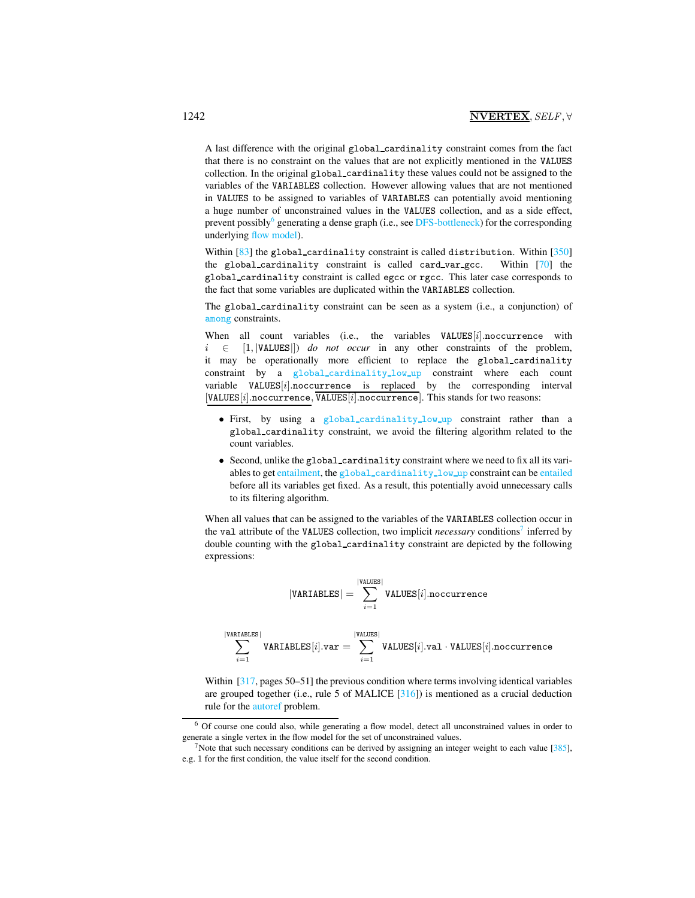A last difference with the original global cardinality constraint comes from the fact that there is no constraint on the values that are not explicitly mentioned in the VALUES collection. In the original global cardinality these values could not be assigned to the variables of the VARIABLES collection. However allowing values that are not mentioned in VALUES to be assigned to variables of VARIABLES can potentially avoid mentioning a huge number of unconstrained values in the VALUES collection, and as a side effect, prevent possibly<sup>[6](#page-2-0)</sup> generating a dense graph (i.e., see DFS-bottleneck) for the corresponding underlying flow model).

Within [83] the global\_cardinality constraint is called distribution. Within [350] the global cardinality constraint is called card var gcc. Within [70] the global cardinality constraint is called egcc or rgcc. This later case corresponds to the fact that some variables are duplicated within the VARIABLES collection.

The global cardinality constraint can be seen as a system (i.e., a conjunction) of among constraints.

When all count variables (i.e., the variables  $VALUES[i]$ .noccurrence with i ∈ [1, |VALUES|]) *do not occur* in any other constraints of the problem, it may be operationally more efficient to replace the global cardinality constraint by a global cardinality low up constraint where each count variable  $VALUES[i]$ .noccurrence is replaced by the corresponding interval  $[VALUES[i].nocurrence, \overline{VALUES[i].nocurrence}.$  This stands for two reasons:

- First, by using a global cardinality low up constraint rather than a global cardinality constraint, we avoid the filtering algorithm related to the count variables.
- Second, unlike the global cardinality constraint where we need to fix all its variables to get entailment, the global\_cardinality\_low\_up constraint can be entailed before all its variables get fixed. As a result, this potentially avoid unnecessary calls to its filtering algorithm.

When all values that can be assigned to the variables of the VARIABLES collection occur in the val attribute of the VALUES collection, two implicit *necessary* conditions<sup>[7](#page-2-1)</sup> inferred by double counting with the global cardinality constraint are depicted by the following expressions:

$$
|\texttt{VARIABLES}| = \sum_{i=1}^{|\texttt{VALUES}|} \texttt{VALUES}[i].\texttt{nocurrence}
$$

$$
\sum_{i=1}^{|\text{VARTABLES}|} \text{VARTABLES}[i].\text{var} = \sum_{i=1}^{|\text{VALUES}|} \text{VALUES}[i].\text{val} \cdot \text{VALUES}[i].\text{nocurrence}
$$

Within [317, pages 50–51] the previous condition where terms involving identical variables are grouped together (i.e., rule 5 of MALICE  $[316]$ ) is mentioned as a crucial deduction rule for the autoref problem.

<span id="page-2-0"></span><sup>6</sup> Of course one could also, while generating a flow model, detect all unconstrained values in order to generate a single vertex in the flow model for the set of unconstrained values.

<span id="page-2-1"></span><sup>&</sup>lt;sup>7</sup>Note that such necessary conditions can be derived by assigning an integer weight to each value [ $385$ ], e.g. 1 for the first condition, the value itself for the second condition.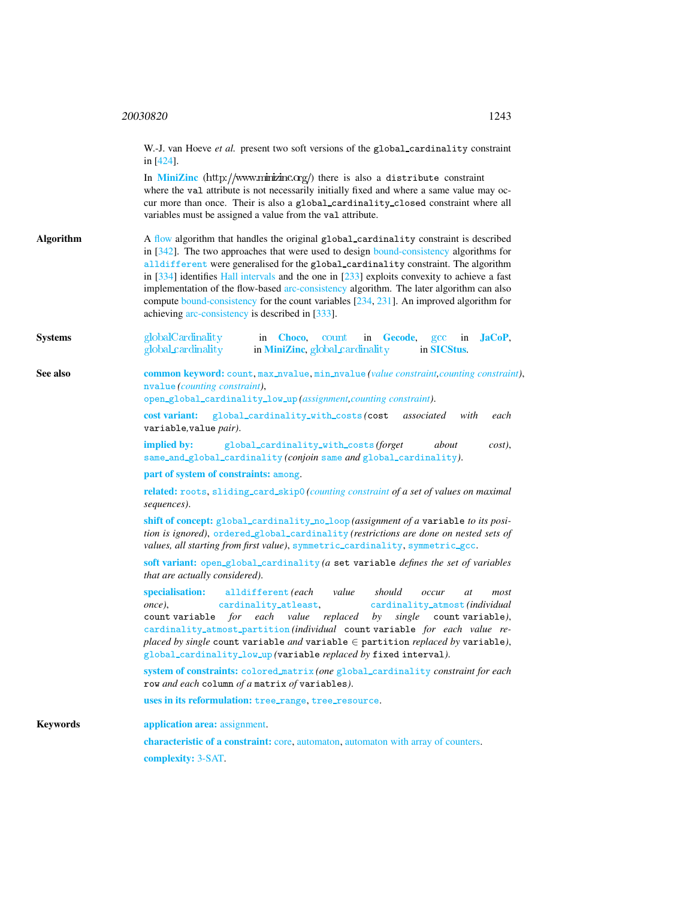<span id="page-3-0"></span>W.-J. van Hoeve et al. present two soft versions of the global\_cardinality constraint in [424]. In [MiniZinc](http://www.minizinc.org/)  $(http://www.minizinc.org/)$  there is also a distribute constraint where the val attribute is not necessarily initially fixed and where a same value may occur more than once. Their is also a global cardinality closed constraint where all variables must be assigned a value from the val attribute. Algorithm A flow algorithm that handles the original global cardinality constraint is described in [342]. The two approaches that were used to design bound-consistency algorithms for alldifferent were generalised for the global cardinality constraint. The algorithm in [334] identifies Hall intervals and the one in [233] exploits convexity to achieve a fast implementation of the flow-based arc-consistency algorithm. The later algorithm can also compute bound-consistency for the count variables [234, 231]. An improved algorithm for achieving arc-consistency is described in [333]. Systems such [globalCardinality](http://www.emn.fr/z-info/choco-solver/tex/documentation/choco-doc.pdf) in [Choco](http://choco.emn.fr/), count in [Gecode](http://www.gecode.org/), gcc in [JaCoP](http://www.jacop.eu/), global cardinality in [MiniZinc](http://www.g12.cs.mu.oz.au/minizinc/), global cardinality in [SICStus](http://www.sics.se/sicstus/). See also common keyword: count, max\_nvalue, min\_nvalue (*value constraint, counting constraint*), nvalue *(counting constraint)*, open global cardinality low up *(assignment,counting constraint)*. cost variant: global cardinality with costs *(*cost *associated with each* variable*,*value *pair)*. implied by: global cardinality with costs *(forget about cost)*, same and global cardinality *(conjoin* same *and* global [cardinality](#page-0-1)*)*. part of system of constraints: among. related: roots, sliding card skip0 *(counting constraint of a set of values on maximal sequences)*. shift of concept: global cardinality no loop *(assignment of a* variable *to its position is ignored)*, ordered global cardinality *(restrictions are done on nested sets of* values, all starting from first value), symmetric\_cardinality, symmetric\_gcc. soft variant: open global cardinality *(a* set variable *defines the set of variables that are actually considered)*. specialisation: alldifferent *(each value should occur at most once)*, cardinality atleast, cardinality atmost *(individual* count variable *for each value replaced by single* count variable*)*, cardinality atmost partition *(individual* count variable *for each value replaced by single* count variable *and* variable ∈ partition *replaced by* variable*)*, global cardinality low up *(*variable *replaced by* fixed interval*)*. system of constraints: colored matrix *(one* global [cardinality](#page-0-1) *constraint for each* row *and each* column *of a* matrix *of* variables*)*. uses in its reformulation: tree range, tree resource. Keywords **application area:** assignment. characteristic of a constraint: core, automaton, automaton with array of counters. complexity: 3-SAT.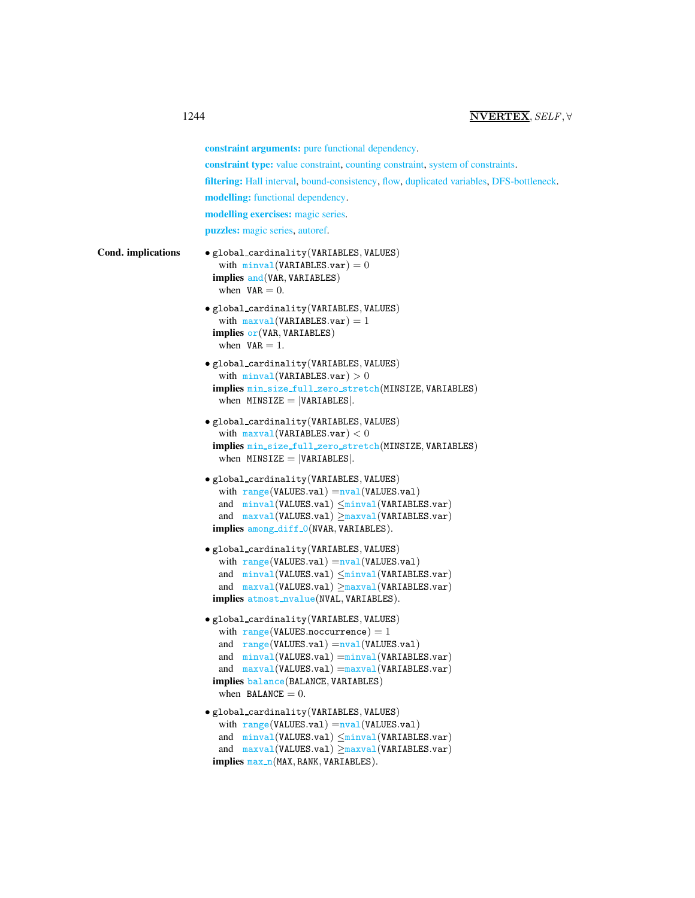|                           | constraint arguments: pure functional dependency.                                                                                                                                                                                                                                                   |
|---------------------------|-----------------------------------------------------------------------------------------------------------------------------------------------------------------------------------------------------------------------------------------------------------------------------------------------------|
|                           | <b>constraint type:</b> value constraint, counting constraint, system of constraints.                                                                                                                                                                                                               |
|                           | filtering: Hall interval, bound-consistency, flow, duplicated variables, DFS-bottleneck.                                                                                                                                                                                                            |
|                           | modelling: functional dependency.                                                                                                                                                                                                                                                                   |
|                           | modelling exercises: magic series.                                                                                                                                                                                                                                                                  |
|                           | <b>puzzles:</b> magic series, autoref.                                                                                                                                                                                                                                                              |
| <b>Cond.</b> implications | · global_cardinality(VARIABLES, VALUES)<br>with $minval(VARIABLES.var) = 0$<br>implies $and(VAR, VARIABLES)$<br>when $VAR = 0$ .                                                                                                                                                                    |
|                           | • global_cardinality(VARIABLES, VALUES)<br>with $maxval(VARIABLES.var) = 1$<br>implies $or(VAR, VARIABLES)$<br>when $VAR = 1$ .                                                                                                                                                                     |
|                           | • global_cardinality(VARIABLES, VALUES)<br>with $minval(VARIABLES.var) > 0$<br>implies min_size_full_zero_stretch(MINSIZE, VARIABLES)<br>when $MINSIZE =  VARIABLES $ .                                                                                                                             |
|                           | · global_cardinality(VARIABLES, VALUES)<br>with $maxval(VARIABLES.var) < 0$<br>implies min_size_full_zero_stretch(MINSIZE, VARIABLES)<br>when $MINSIZE =  VARIABLES $ .                                                                                                                             |
|                           | $\bullet$ global_cardinality(VARIABLES, VALUES)<br>with $range(VALUES.val) = nval(VALUES.val)$<br>and $minval(VALUES.val) \leq minval(VARIABLES.var)$<br>and $maxval(VALUES.val) \geq maxval(VARIABLES.var)$<br>implies among_diff_0(NVAR, VARIABLES).                                              |
|                           | • global_cardinality(VARIABLES, VALUES)<br>with $range(VALUES.val) = nval(VALUES.val)$<br>and $minval(VALUES.val) \leq minval(VARIABLES.var)$<br>and $maxval(VALUES.val) \geq maxval(VARIABLES.var)$<br>implies atmost_nvalue(NVAL, VARIABLES).                                                     |
|                           | • global_cardinality(VARIABLES, VALUES)<br>with $range(VALUES.noccurrence) = 1$<br>and range(VALUES.val) = nval(VALUES.val)<br>and $minval(VALUES.val) = minval(VARIABLES.var)$<br>and $maxval(VALUES.val) = maxval(VARIABLES.var)$<br>implies balance (BALANCE, VARIABLES)<br>when BALANCE $= 0$ . |
|                           | · global_cardinality(VARIABLES, VALUES)<br>with $range(VALUES.val) = nval(VALUES.val)$<br>and $minval(VALUES.val) \leq minval(VARIABLES.var)$<br>and $maxval(VALUES.val) \geq maxval(VARIABLES.var)$<br>implies max_n(MAX, RANK, VARIABLES).                                                        |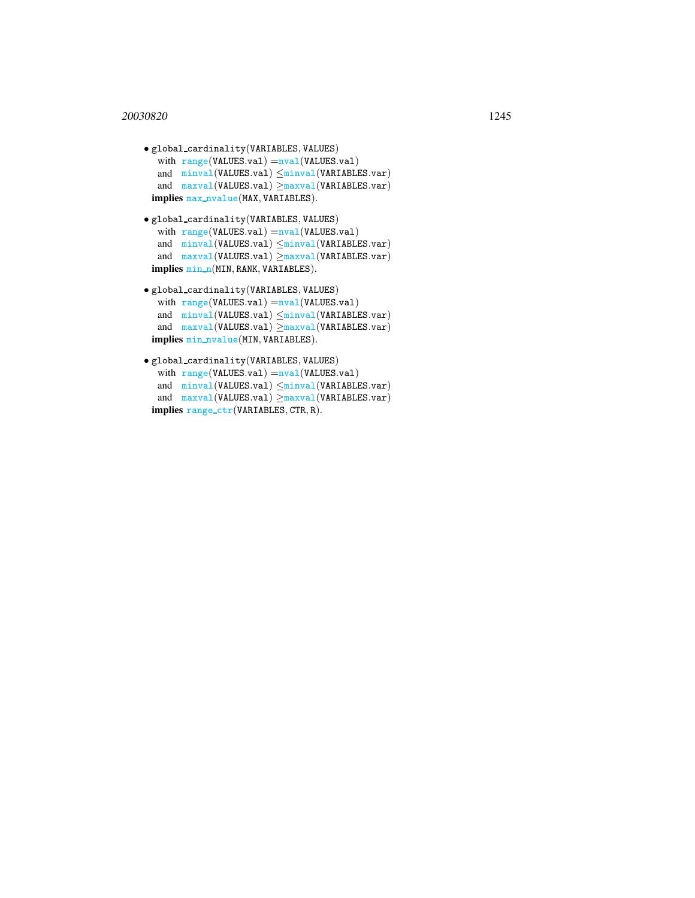### <sup>20030820</sup> 1245

```
• global cardinality(VARIABLES, VALUES)
  with range(VALUES.val) =<sub>nval</sub>(VALUES.val)and minval(VALUES.val) ≤minval(VARIABLES.var)
  and maxval(VALUES.val) ≥maxval(VARIABLES.var)
 implies max_nvalue(MAX, VARIABLES).
• global cardinality(VARIABLES, VALUES)
  with range(VALUES.val) =<sub>nval</sub>(VALUES.val)and minval(VALUES.val) ≤minval(VARIABLES.var)
  and maxval(VALUES.val) ≥maxval(VARIABLES.var)
 implies min_n(MIN, RANK, VARIABLES).
• global cardinality(VARIABLES, VALUES)
  with range(VALUES.val) =<sub>nval</sub>(VALUES.val)and minval(VALUES.val) ≤minval(VARIABLES.var)
  and maxval(VALUES.val) \geq maxval(VARIABLES.var)implies min nvalue(MIN, VARIABLES).
```

```
\bullet global_cardinality(VARIABLES, VALUES)
   with range(VALUES.val) =<sub>nval</sub>(VALUES.val)and minval(VALUES.val) \leq minval(VARIABLES.var)and maxval(VALUES.val) \geq maxval(VARIABLES.var)implies range ctr(VARIABLES, CTR, R).
```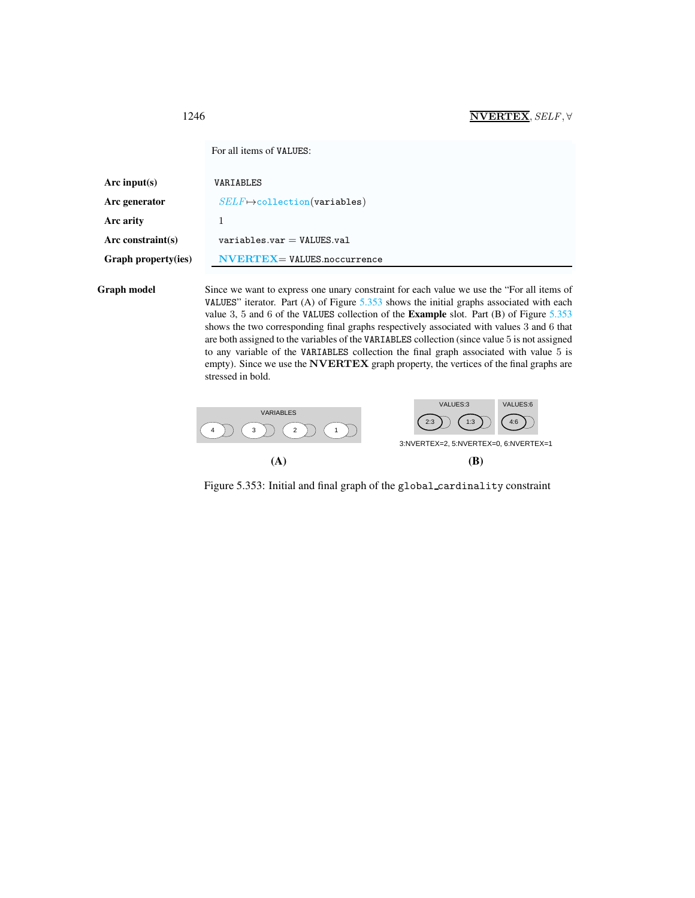<span id="page-6-0"></span>

|                     | For all items of VALUES:             |  |
|---------------------|--------------------------------------|--|
| Arc input $(s)$     | VARIABLES                            |  |
| Arc generator       | $SELF \mapsto$ collection(variables) |  |
| Arc arity           |                                      |  |
| Arc constraint(s)   | $variable s.var = VALUES.vala1$      |  |
| Graph property(ies) | $NVERTEX = VALUES.noccurrence$       |  |
|                     |                                      |  |

Graph model Since we want to express one unary constraint for each value we use the "For all items of VALUES" iterator. Part  $(A)$  of Figure  $5.353$  shows the initial graphs associated with each value 3, 5 and 6 of the VALUES collection of the Example slot. Part (B) of Figure [5.353](#page-6-1) shows the two corresponding final graphs respectively associated with values 3 and 6 that are both assigned to the variables of the VARIABLES collection (since value 5 is not assigned to any variable of the VARIABLES collection the final graph associated with value 5 is empty). Since we use the NVERTEX graph property, the vertices of the final graphs are stressed in bold.



<span id="page-6-1"></span>Figure 5.353: Initial and final graph of the global cardinality constraint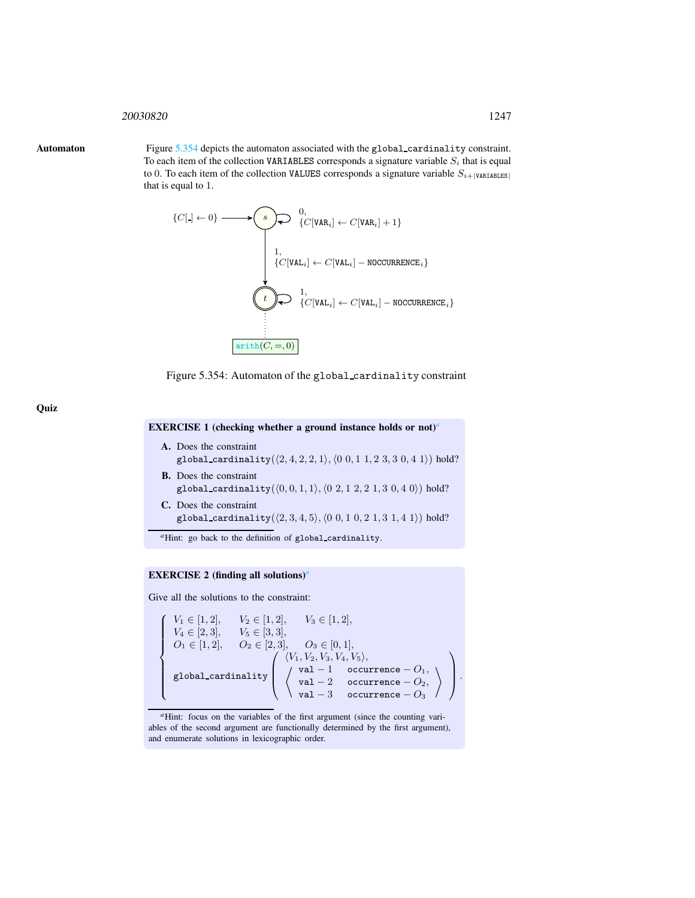### <span id="page-7-0"></span><sup>20030820</sup> 1247

**Quiz** 

Automaton Figure [5.354](#page-7-1) depicts the automaton associated with the global cardinality constraint. To each item of the collection VARIABLES corresponds a signature variable  $S_i$  that is equal to 0. To each item of the collection VALUES corresponds a signature variable  $S_{i+|\text{VARIABLES}|}$ that is equal to 1.



<span id="page-7-1"></span>Figure 5.354: Automaton of the global cardinality constraint

EXERCISE 1 (checking whether a ground instance holds or not)*[a](#page-7-2)*

- A. Does the constraint global\_cardinality( $(2, 4, 2, 2, 1), (0, 0, 1, 1, 2, 3, 3, 0, 4, 1)$ ) hold? B. Does the constraint
- global\_cardinality( $(0, 0, 1, 1), (0, 2, 1, 2, 2, 1, 3, 0, 4, 0)$ ) hold? C. Does the constraint
- global\_cardinality $(\langle 2, 3, 4, 5 \rangle, \langle 0 \ 0, 1 \ 0, 2 \ 1, 3 \ 1, 4 \ 1 \rangle)$  hold?

*<sup>a</sup>*Hint: go back to the definition of global cardinality.

# EXERCISE 2 (finding all solutions)*[a](#page-7-3)*

Give all the solutions to the constraint:

<span id="page-7-2"></span> $\sqrt{ }$  $\begin{matrix} \end{matrix}$ | global\_cardinality<br>|  $V_1 \in [1, 2], \quad V_2 \in [1, 2], \quad V_3 \in [1, 2],$  $V_4 \in [2, 3], \quad V_5 \in [3, 3],$  $O_1 \in [1, 2], \quad O_2 \in [2, 3], \quad O_3 \in [0, 1],$  $\sqrt{ }$  $\overline{\phantom{a}}$  $\langle V_1, V_2, V_3, V_4, V_5 \rangle,$  $\begin{aligned} \begin{cases} \gamma \text{ val} - 1 \quad \text{ occurrence} - O_1, \end{cases} \end{aligned}$ val – 2 occurrence –  $O_2$ , val –  $3$  occurrence –  $O_3$  $\setminus$  $\setminus$  $\vert \cdot$ 

<span id="page-7-3"></span><sup>a</sup>Hint: focus on the variables of the first argument (since the counting variables of the second argument are functionally determined by the first argument), and enumerate solutions in lexicographic order.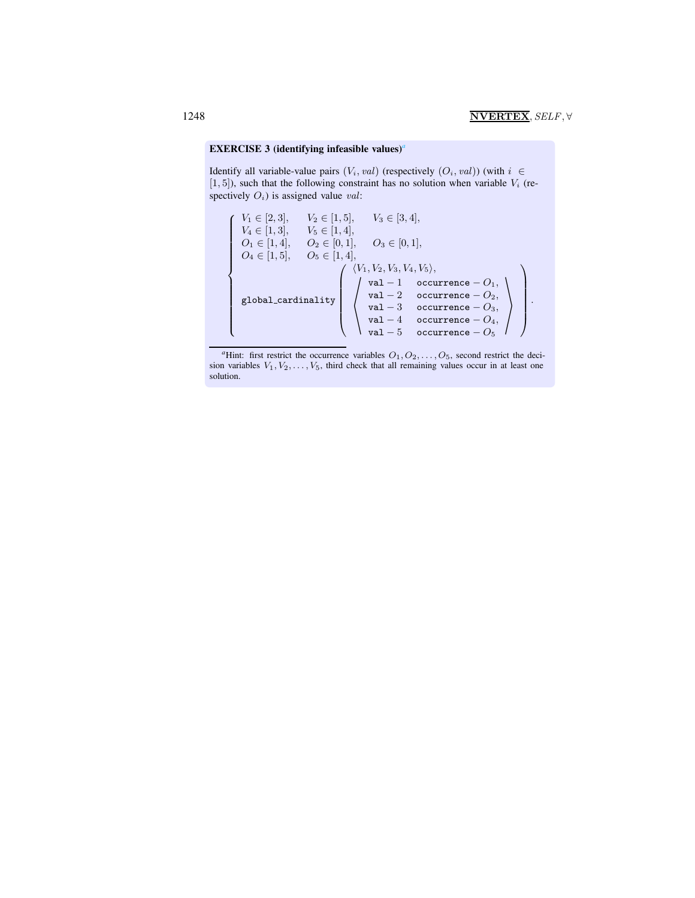# EXERCISE 3 (identifying infe[a](#page-8-0)sible values)<sup>*a*</sup>

Identify all variable-value pairs  $(V_i, val)$  (respectively  $(O_i, val)$ ) (with  $i \in$  $[1, 5]$ ), such that the following constraint has no solution when variable  $V_i$  (respectively  $O_i$ ) is assigned value val:



<span id="page-8-0"></span><sup>*a*</sup>Hint: first restrict the occurrence variables  $O_1, O_2, \ldots, O_5$ , second restrict the decision variables  $V_1, V_2, \ldots, V_5$ , third check that all remaining values occur in at least one solution.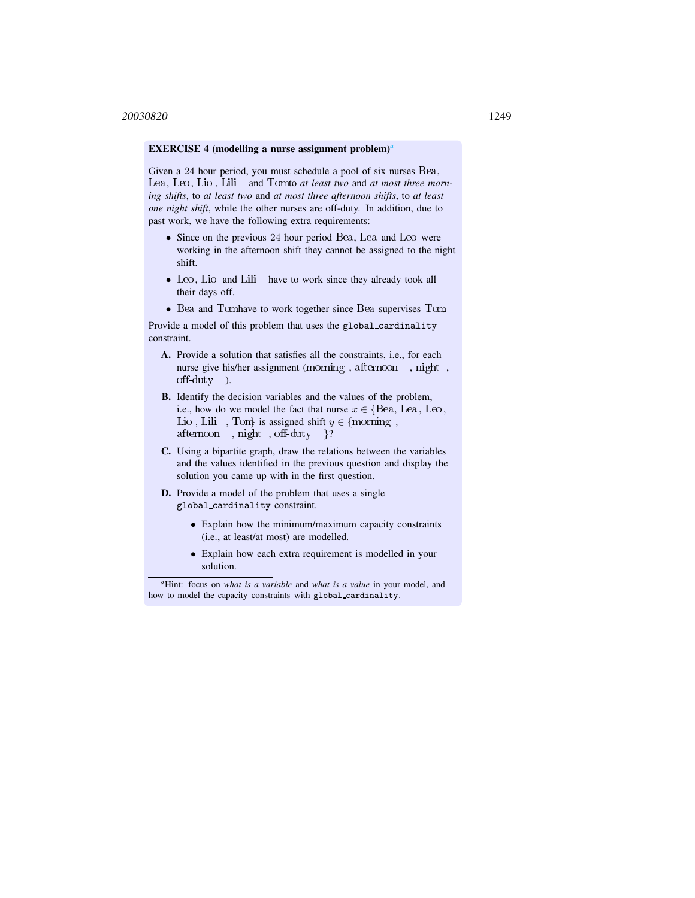# EXERCISE 4 (modelling [a](#page-9-0) nurse assignment problem)<sup>*a*</sup>

Given a 24 hour period, you must schedule a pool of six nurses Bea, Lea, Leo , Lio , Lili and Tomto *at least two* and *at most three morning shifts*, to *at least two* and *at most three afternoon shifts*, to *at least one night shift*, while the other nurses are off-duty. In addition, due to past work, we have the following extra requirements:

- Since on the previous 24 hour period Bea, Lea and Leo were working in the afternoon shift they cannot be assigned to the night shift.
- Leo, Lio and Lili have to work since they already took all their days off.
- Bea and Tomhave to work together since Bea supervises Tom.

Provide a model of this problem that uses the global cardinality constraint.

- A. Provide a solution that satisfies all the constraints, i.e., for each nurse give his/her assignment (morning , afternoon , night , off-duty ).
- B. Identify the decision variables and the values of the problem, i.e., how do we model the fact that nurse  $x \in \{Bea, \text{Lea}, \text{Leo}, \text{I}\}$ Lio, Lili, Tom} is assigned shift  $y \in \{\text{morning},\}$ afternoon , night , off-duty }?
- C. Using a bipartite graph, draw the relations between the variables and the values identified in the previous question and display the solution you came up with in the first question.
- D. Provide a model of the problem that uses a single global cardinality constraint.
	- Explain how the minimum/maximum capacity constraints (i.e., at least/at most) are modelled.
	- Explain how each extra requirement is modelled in your solution.

<span id="page-9-0"></span>*<sup>a</sup>*Hint: focus on *what is a variable* and *what is a value* in your model, and how to model the capacity constraints with global cardinality.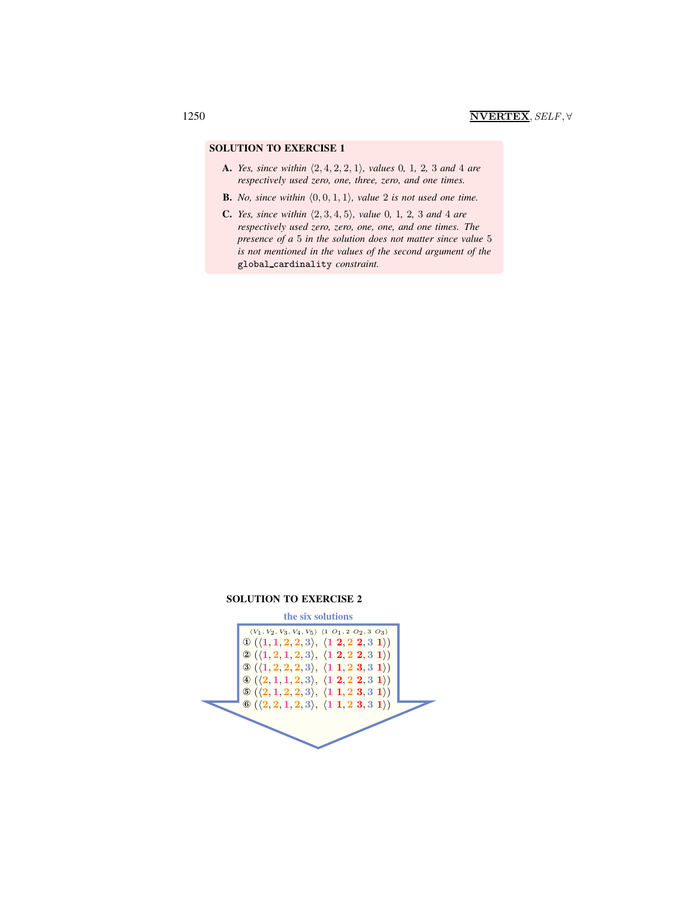# SOLUTION TO EXERCISE 1

- A. *Yes, since within*  $\langle 2, 4, 2, 2, 1 \rangle$ *, values* 0*,* 1*,* 2*,* 3 *and* 4 *are respectively used zero, one, three, zero, and one times.*
- **B.** *No, since within*  $\langle 0, 0, 1, 1 \rangle$ *, value* 2 *is not used one time.*
- **C.** *Yes, since within*  $\langle 2, 3, 4, 5 \rangle$ *, value* 0*,* 1*,* 2*,* 3 *and* 4 *are respectively used zero, zero, one, one, and one times. The presence of a* 5 *in the solution does not matter since value* 5 *is not mentioned in the values of the second argument of the* global cardinality *constraint.*



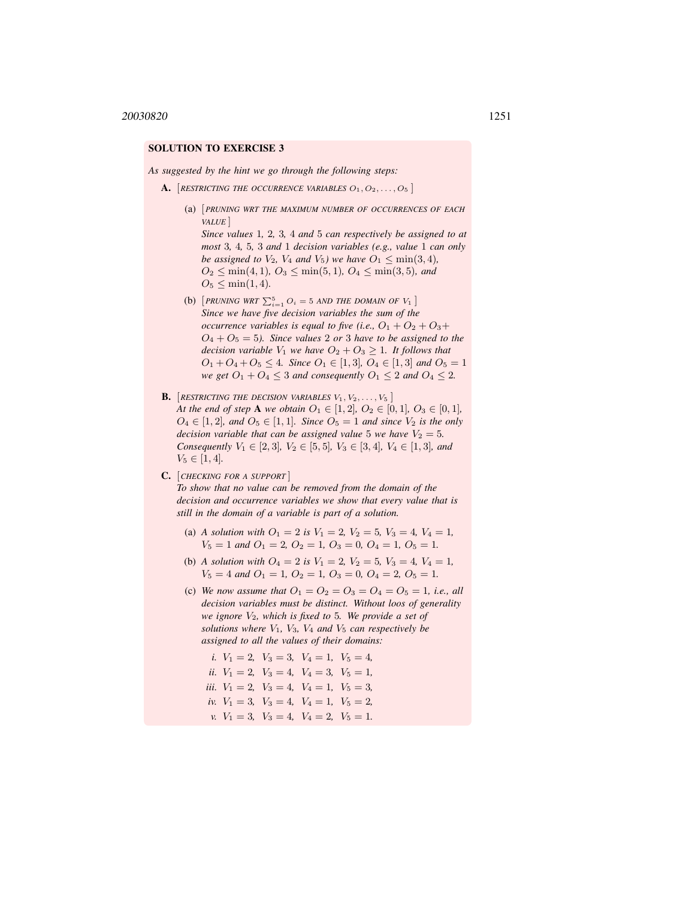# SOLUTION TO EXERCISE 3

*As suggested by the hint we go through the following steps:*

A. *[RESTRICTING THE OCCURRENCE VARIABLES*  $O_1, O_2, \ldots, O_5$ *]* 

(a) [*PRUNING WRT THE MAXIMUM NUMBER OF OCCURRENCES OF EACH VALUE* ] *Since values* 1*,* 2*,* 3*,* 4 *and* 5 *can respectively be assigned to at*

*most* 3*,* 4*,* 5*,* 3 *and* 1 *decision variables (e.g., value* 1 *can only be assigned to*  $V_2$ *,*  $V_4$  *and*  $V_5$ *)* we have  $O_1 \leq \min(3, 4)$ *,*  $O_2 \leq \min(4, 1), O_3 \leq \min(5, 1), O_4 \leq \min(3, 5),$  and  $O_5 \leq \min(1, 4)$ .

- (b)  $[PRUNING WRT \sum_{i=1}^{5} O_i = 5 AND THE DOMAIN OF V_1]$ *Since we have five decision variables the sum of the occurrence variables is equal to five (i.e.,*  $O_1 + O_2 + O_3 +$  $O_4 + O_5 = 5$ ). Since values 2 or 3 have to be assigned to the *decision variable*  $V_1$  *we have*  $O_2 + O_3 \geq 1$ *. It follows that*  $O_1 + O_4 + O_5 \leq 4$ *. Since*  $O_1 \in [1,3]$ *,*  $O_4 \in [1,3]$  *and*  $O_5 = 1$ *we get*  $O_1 + O_4 \leq 3$  *and consequently*  $O_1 \leq 2$  *and*  $O_4 \leq 2$ *.*
- **B.** [*RESTRICTING THE DECISION VARIABLES*  $V_1, V_2, \ldots, V_5$ ] *At the end of step* **A** *we obtain*  $O_1 \in [1, 2]$ *,*  $O_2 \in [0, 1]$ *,*  $O_3 \in [0, 1]$ *,*  $O_4 \in [1, 2]$ *, and*  $O_5 \in [1, 1]$ *. Since*  $O_5 = 1$  *and since*  $V_2$  *is the only decision variable that can be assigned value* 5 *we have*  $V_2 = 5$ *. Consequently*  $V_1 \in [2, 3]$ *,*  $V_2 \in [5, 5]$ *,*  $V_3 \in [3, 4]$ *,*  $V_4 \in [1, 3]$ *, and*  $V_5 \in [1, 4]$ .
- C. [*CHECKING FOR A SUPPORT* ]

*To show that no value can be removed from the domain of the decision and occurrence variables we show that every value that is still in the domain of a variable is part of a solution.*

- (a) *A solution with*  $O_1 = 2$  *is*  $V_1 = 2$ ,  $V_2 = 5$ ,  $V_3 = 4$ ,  $V_4 = 1$ ,  $V_5 = 1$  *and*  $O_1 = 2$ ,  $O_2 = 1$ ,  $O_3 = 0$ ,  $O_4 = 1$ ,  $O_5 = 1$ .
- (b) *A solution with*  $O_4 = 2$  *is*  $V_1 = 2$ ,  $V_2 = 5$ ,  $V_3 = 4$ ,  $V_4 = 1$ ,  $V_5 = 4$  *and*  $O_1 = 1$ ,  $O_2 = 1$ ,  $O_3 = 0$ ,  $O_4 = 2$ ,  $O_5 = 1$ .
- (c) We now assume that  $O_1 = O_2 = O_3 = O_4 = O_5 = 1$ , *i.e., all decision variables must be distinct. Without loos of generality we ignore*  $V_2$ *, which is fixed to 5. We provide a set of solutions where* V1*,* V3*,* V<sup>4</sup> *and* V<sup>5</sup> *can respectively be assigned to all the values of their domains:*
	- *i.*  $V_1 = 2$ ,  $V_3 = 3$ ,  $V_4 = 1$ ,  $V_5 = 4$ , *ii.*  $V_1 = 2$ ,  $V_3 = 4$ ,  $V_4 = 3$ ,  $V_5 = 1$ , *iii.*  $V_1 = 2$ ,  $V_3 = 4$ ,  $V_4 = 1$ ,  $V_5 = 3$ , *iv.*  $V_1 = 3$ ,  $V_3 = 4$ ,  $V_4 = 1$ ,  $V_5 = 2$ , *v.*  $V_1 = 3$ ,  $V_3 = 4$ ,  $V_4 = 2$ ,  $V_5 = 1$ .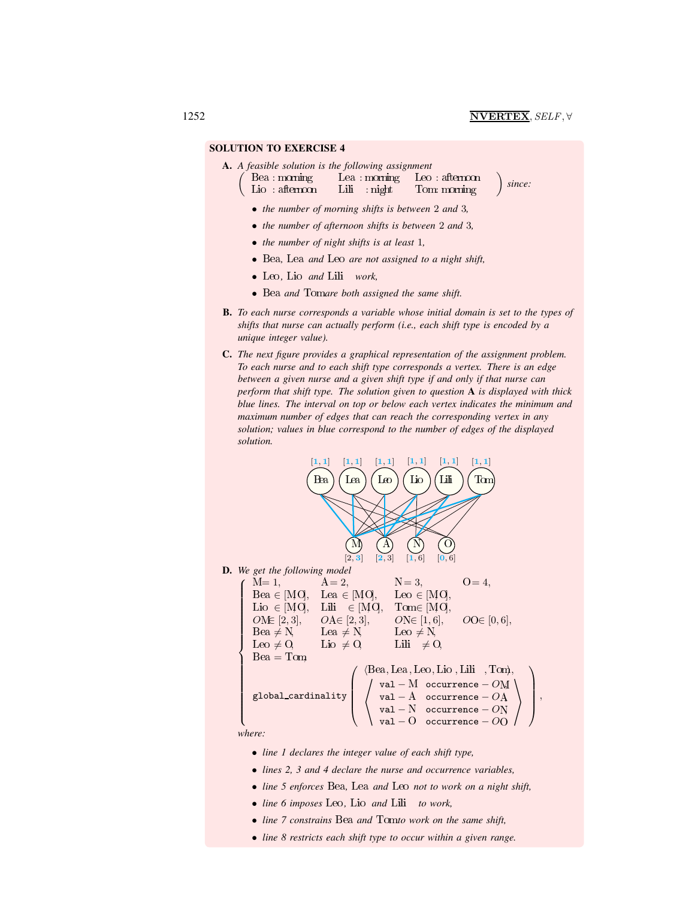# SOLUTION TO EXERCISE 4

 $\sqrt{2}$ 

A. *A feasible solution is the following assignment*

Bea : morning Lea : morning Leo : afternoon Lio : afternoon Lili : night Tom: morning

*since:*

- *the number of morning shifts is between* 2 *and* 3*,*
- *the number of afternoon shifts is between* 2 *and* 3*,*
- *the number of night shifts is at least* 1*,*
- Bea*,* Lea *and* Leo *are not assigned to a night shift,*
- Leo *,* Lio *and* Lili *work,*
- Bea *and* Tom*are both assigned the same shift.*
- B. *To each nurse corresponds a variable whose initial domain is set to the types of shifts that nurse can actually perform (i.e., each shift type is encoded by a unique integer value).*
- C. *The next figure provides a graphical representation of the assignment problem. To each nurse and to each shift type corresponds a vertex. There is an edge between a given nurse and a given shift type if and only if that nurse can perform that shift type. The solution given to question* A *is displayed with thick blue lines. The interval on top or below each vertex indicates the minimum and maximum number of edges that can reach the corresponding vertex in any solution; values in blue correspond to the number of edges of the displayed solution.*



- *lines 2, 3 and 4 declare the nurse and occurrence variables,*
- 
- *line 5 enforces* Bea*,* Lea *and* Leo *not to work on a night shift,*
- *line 6 imposes* Leo *,* Lio *and* Lili *to work,*
- *line 7 constrains* Bea *and* Tom*to work on the same shift,*
- *line 8 restricts each shift type to occur within a given range.*